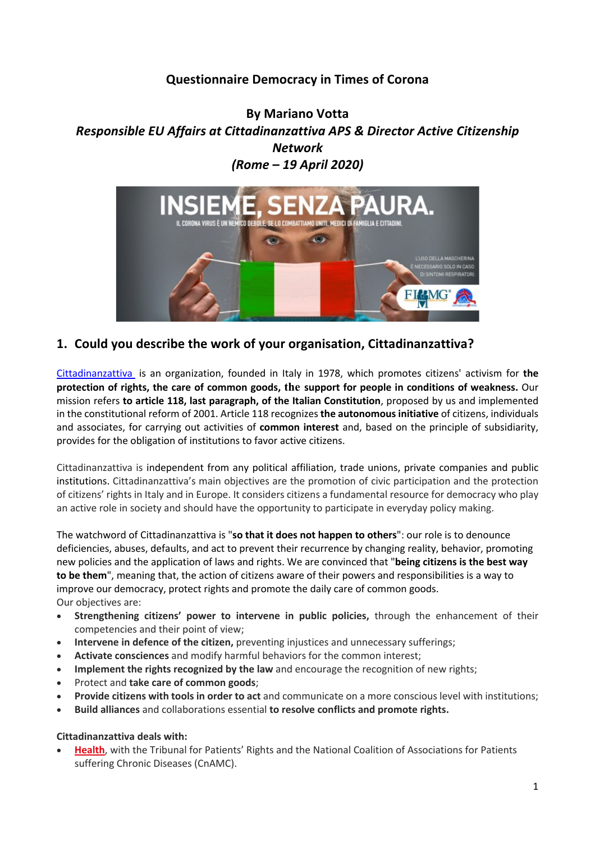# **Questionnaire Democracy in Times of Corona**

**By Mariano Votta** *Responsible EU Affairs at Cittadinanzattiva APS & Director Active Citizenship Network (Rome – 19 April 2020)*



# **1. Could you describe the work of your organisation, Cittadinanzattiva?**

Cittadinanzattiva is an organization, founded in Italy in 1978, which promotes citizens' activism for **the protection of rights, the care of common goods, the support for people in conditions of weakness.** Our mission refers **to article 118, last paragraph, of the Italian Constitution**, proposed by us and implemented in the constitutional reform of 2001. Article 118 recognizes **the autonomous initiative** of citizens, individuals and associates, for carrying out activities of **common interest** and, based on the principle of subsidiarity, provides for the obligation of institutions to favor active citizens.

Cittadinanzattiva is independent from any political affiliation, trade unions, private companies and public institutions. Cittadinanzattiva's main objectives are the promotion of civic participation and the protection of citizens' rights in Italy and in Europe. It considers citizens a fundamental resource for democracy who play an active role in society and should have the opportunity to participate in everyday policy making.

The watchword of Cittadinanzattiva is "**so that it does not happen to others**": our role is to denounce deficiencies, abuses, defaults, and act to prevent their recurrence by changing reality, behavior, promoting new policies and the application of laws and rights. We are convinced that "**being citizens is the best way to be them**", meaning that, the action of citizens aware of their powers and responsibilities is a way to improve our democracy, protect rights and promote the daily care of common goods. Our objectives are:

- **Strengthening citizens' power to intervene in public policies,** through the enhancement of their competencies and their point of view;
- **Intervene in defence of the citizen,** preventing injustices and unnecessary sufferings;
- **Activate consciences** and modify harmful behaviors for the common interest;
- **Implement the rights recognized by the law** and encourage the recognition of new rights;
- Protect and **take care of common goods**;
- **Provide citizens with tools in order to act** and communicate on a more conscious level with institutions;
- **Build alliances** and collaborations essential **to resolve conflicts and promote rights.**

### **Cittadinanzattiva deals with:**

• **Health**, with the Tribunal for Patients' Rights and the National Coalition of Associations for Patients suffering Chronic Diseases (CnAMC).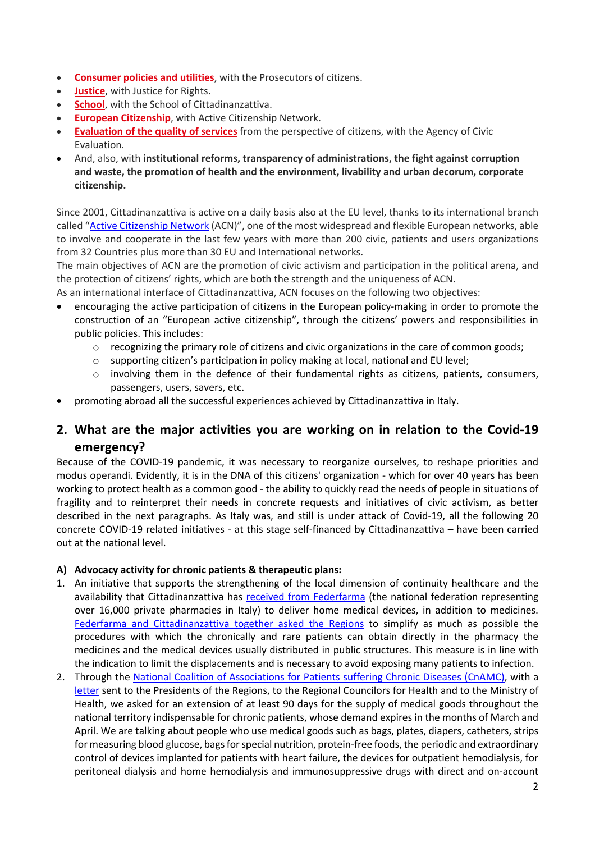- **Consumer policies and utilities**, with the Prosecutors of citizens.
- **Justice**, with Justice for Rights.
- **School**, with the School of Cittadinanzattiva.
- **European Citizenship**, with Active Citizenship Network.
- **Evaluation of the quality of services** from the perspective of citizens, with the Agency of Civic Evaluation.
- And, also, with **institutional reforms, transparency of administrations, the fight against corruption and waste, the promotion of health and the environment, livability and urban decorum, corporate citizenship.**

Since 2001, Cittadinanzattiva is active on a daily basis also at the EU level, thanks to its international branch called "Active Citizenship Network (ACN)", one of the most widespread and flexible European networks, able to involve and cooperate in the last few years with more than 200 civic, patients and users organizations from 32 Countries plus more than 30 EU and International networks.

The main objectives of ACN are the promotion of civic activism and participation in the political arena, and the protection of citizens' rights, which are both the strength and the uniqueness of ACN.

As an international interface of Cittadinanzattiva, ACN focuses on the following two objectives:

- encouraging the active participation of citizens in the European policy-making in order to promote the construction of an "European active citizenship", through the citizens' powers and responsibilities in public policies. This includes:
	- $\circ$  recognizing the primary role of citizens and civic organizations in the care of common goods;
	- o supporting citizen's participation in policy making at local, national and EU level;
	- $\circ$  involving them in the defence of their fundamental rights as citizens, patients, consumers, passengers, users, savers, etc.
- promoting abroad all the successful experiences achieved by Cittadinanzattiva in Italy.

# **2. What are the major activities you are working on in relation to the Covid-19 emergency?**

Because of the COVID-19 pandemic, it was necessary to reorganize ourselves, to reshape priorities and modus operandi. Evidently, it is in the DNA of this citizens' organization - which for over 40 years has been working to protect health as a common good - the ability to quickly read the needs of people in situations of fragility and to reinterpret their needs in concrete requests and initiatives of civic activism, as better described in the next paragraphs. As Italy was, and still is under attack of Covid-19, all the following 20 concrete COVID-19 related initiatives - at this stage self-financed by Cittadinanzattiva – have been carried out at the national level.

### **A) Advocacy activity for chronic patients & therapeutic plans:**

- 1. An initiative that supports the strengthening of the local dimension of continuity healthcare and the availability that Cittadinanzattiva has received from Federfarma (the national federation representing over 16,000 private pharmacies in Italy) to deliver home medical devices, in addition to medicines. Federfarma and Cittadinanzattiva together asked the Regions to simplify as much as possible the procedures with which the chronically and rare patients can obtain directly in the pharmacy the medicines and the medical devices usually distributed in public structures. This measure is in line with the indication to limit the displacements and is necessary to avoid exposing many patients to infection.
- 2. Through the National Coalition of Associations for Patients suffering Chronic Diseases (CnAMC), with a letter sent to the Presidents of the Regions, to the Regional Councilors for Health and to the Ministry of Health, we asked for an extension of at least 90 days for the supply of medical goods throughout the national territory indispensable for chronic patients, whose demand expires in the months of March and April. We are talking about people who use medical goods such as bags, plates, diapers, catheters, strips for measuring blood glucose, bags for special nutrition, protein-free foods, the periodic and extraordinary control of devices implanted for patients with heart failure, the devices for outpatient hemodialysis, for peritoneal dialysis and home hemodialysis and immunosuppressive drugs with direct and on-account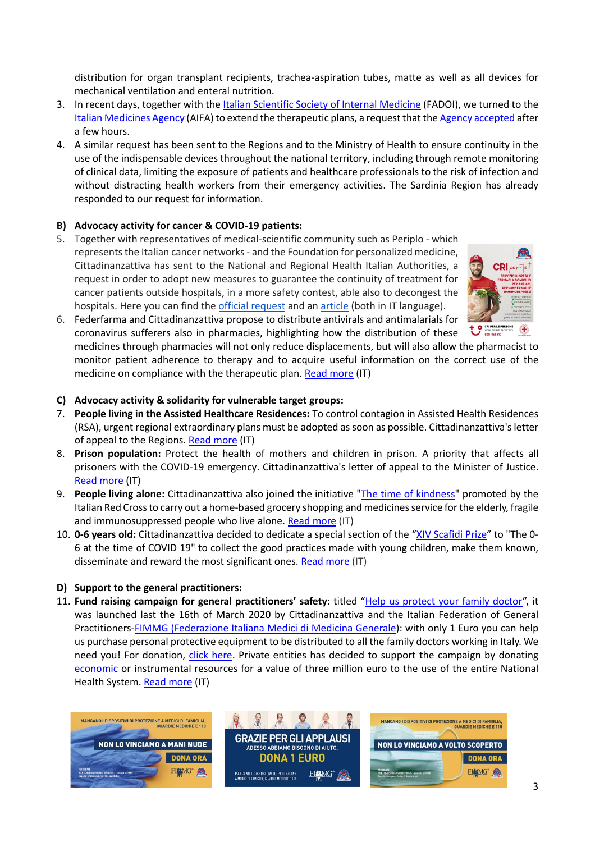distribution for organ transplant recipients, trachea-aspiration tubes, matte as well as all devices for mechanical ventilation and enteral nutrition.

- 3. In recent days, together with the Italian Scientific Society of Internal Medicine (FADOI), we turned to the Italian Medicines Agency (AIFA) to extend the therapeutic plans, a request that the Agency accepted after a few hours.
- 4. A similar request has been sent to the Regions and to the Ministry of Health to ensure continuity in the use of the indispensable devices throughout the national territory, including through remote monitoring of clinical data, limiting the exposure of patients and healthcare professionals to the risk of infection and without distracting health workers from their emergency activities. The Sardinia Region has already responded to our request for information.

## **B) Advocacy activity for cancer & COVID-19 patients:**

5. Together with representatives of medical-scientific community such as Periplo - which represents the Italian cancer networks - and the Foundation for personalized medicine, Cittadinanzattiva has sent to the National and Regional Health Italian Authorities, a request in order to adopt new measures to guarantee the continuity of treatment for cancer patients outside hospitals, in a more safety contest, able also to decongest the hospitals. Here you can find the official request and an article (both in IT language).



6. Federfarma and Cittadinanzattiva propose to distribute antivirals and antimalarials for coronavirus sufferers also in pharmacies, highlighting how the distribution of these

medicines through pharmacies will not only reduce displacements, but will also allow the pharmacist to monitor patient adherence to therapy and to acquire useful information on the correct use of the medicine on compliance with the therapeutic plan. Read more (IT)

- **C) Advocacy activity & solidarity for vulnerable target groups:**
- 7. **People living in the Assisted Healthcare Residences:** To control contagion in Assisted Health Residences (RSA), urgent regional extraordinary plans must be adopted as soon as possible. Cittadinanzattiva's letter of appeal to the Regions. Read more (IT)
- 8. **Prison population:** Protect the health of mothers and children in prison. A priority that affects all prisoners with the COVID-19 emergency. Cittadinanzattiva's letter of appeal to the Minister of Justice. Read more (IT)
- 9. **People living alone:** Cittadinanzattiva also joined the initiative "The time of kindness" promoted by the Italian Red Cross to carry out a home-based grocery shopping and medicines service for the elderly, fragile and immunosuppressed people who live alone. Read more (IT)
- 10. **0-6 years old:** Cittadinanzattiva decided to dedicate a special section of the "XIV Scafidi Prize" to "The 0- 6 at the time of COVID 19" to collect the good practices made with young children, make them known, disseminate and reward the most significant ones. Read more (IT)

### **D) Support to the general practitioners:**

11. **Fund raising campaign for general practitioners' safety:** titled "Help us protect your family doctor", it was launched last the 16th of March 2020 by Cittadinanzattiva and the Italian Federation of General Practitioners-FIMMG (Federazione Italiana Medici di Medicina Generale): with only 1 Euro you can help us purchase personal protective equipment to be distributed to all the family doctors working in Italy. We need you! For donation, *click here*. Private entities has decided to support the campaign by donating economic or instrumental resources for a value of three million euro to the use of the entire National Health System. Read more (IT)

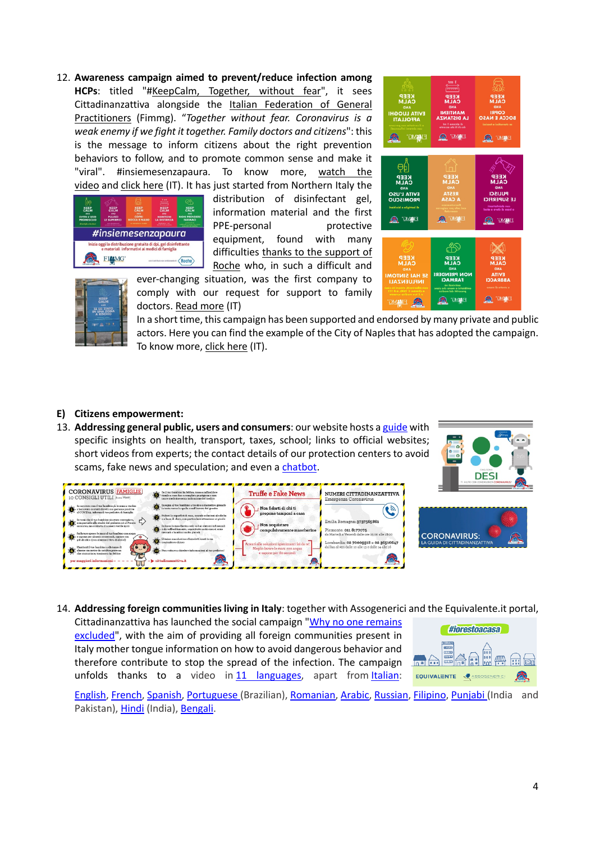12. **Awareness campaign aimed to prevent/reduce infection among HCPs**: titled "#KeepCalm, Together, without fear", it sees Cittadinanzattiva alongside the Italian Federation of General Practitioners (Fimmg). "*Together without fear. Coronavirus is a weak enemy if we fight it together. Family doctors and citizens*": this is the message to inform citizens about the right prevention behaviors to follow, and to promote common sense and make it "viral". #insiemesenzapaura. To know more, watch the video and click here (IT). It has just started from Northern Italy the



distribution of disinfectant gel, information material and the first PPE-personal protective equipment, found with many difficulties thanks to the support of Roche who, in such a difficult and





ever-changing situation, was the first company to comply with our request for support to family doctors. Read more (IT)

In a short time, this campaign has been supported and endorsed by many private and public actors. Here you can find the example of the City of Naples that has adopted the campaign. To know more, click here (IT).

#### **E) Citizens empowerment:**

13. **Addressing general public, users and consumers**: our website hosts a guide with specific insights on health, transport, taxes, school; links to official websites; short videos from experts; the contact details of our protection centers to avoid scams, fake news and speculation; and even a chatbot.





#### 14. **Addressing foreign communities living in Italy**: together with Assogenerici and the Equivalente.it portal,

Cittadinanzattiva has launched the social campaign "Why no one remains excluded", with the aim of providing all foreign communities present in Italy mother tongue information on how to avoid dangerous behavior and therefore contribute to stop the spread of the infection. The campaign unfolds thanks to a video in 11 languages, apart from Italian:



English, French, Spanish, Portuguese (Brazilian), Romanian, Arabic, Russian, Filipino, Punjabi (India and Pakistan), Hindi (India), Bengali.